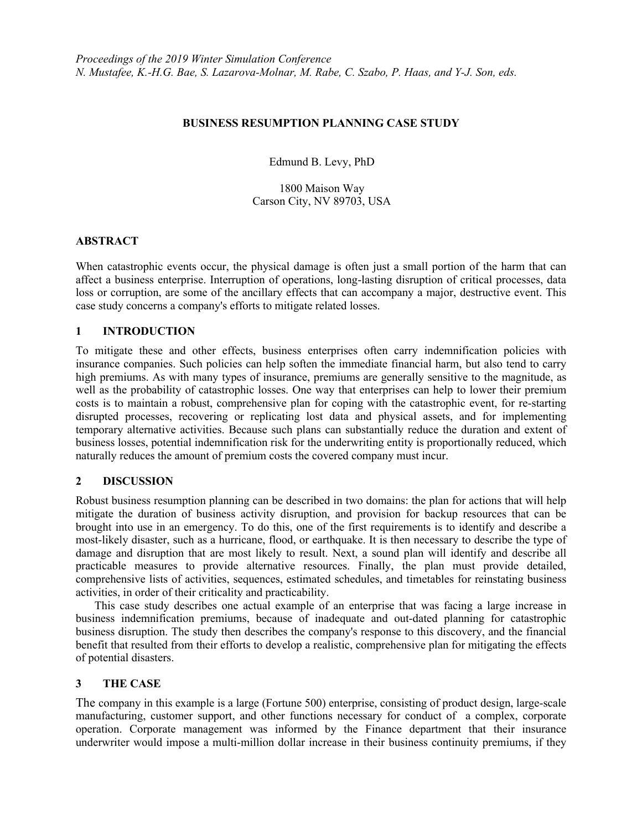#### **BUSINESS RESUMPTION PLANNING CASE STUDY**

Edmund B. Levy, PhD

1800 Maison Way Carson City, NV 89703, USA

#### **ABSTRACT**

When catastrophic events occur, the physical damage is often just a small portion of the harm that can affect a business enterprise. Interruption of operations, long-lasting disruption of critical processes, data loss or corruption, are some of the ancillary effects that can accompany a major, destructive event. This case study concerns a company's efforts to mitigate related losses.

# **1 INTRODUCTION**

To mitigate these and other effects, business enterprises often carry indemnification policies with insurance companies. Such policies can help soften the immediate financial harm, but also tend to carry high premiums. As with many types of insurance, premiums are generally sensitive to the magnitude, as well as the probability of catastrophic losses. One way that enterprises can help to lower their premium costs is to maintain a robust, comprehensive plan for coping with the catastrophic event, for re-starting disrupted processes, recovering or replicating lost data and physical assets, and for implementing temporary alternative activities. Because such plans can substantially reduce the duration and extent of business losses, potential indemnification risk for the underwriting entity is proportionally reduced, which naturally reduces the amount of premium costs the covered company must incur.

# **2 DISCUSSION**

Robust business resumption planning can be described in two domains: the plan for actions that will help mitigate the duration of business activity disruption, and provision for backup resources that can be brought into use in an emergency. To do this, one of the first requirements is to identify and describe a most-likely disaster, such as a hurricane, flood, or earthquake. It is then necessary to describe the type of damage and disruption that are most likely to result. Next, a sound plan will identify and describe all practicable measures to provide alternative resources. Finally, the plan must provide detailed, comprehensive lists of activities, sequences, estimated schedules, and timetables for reinstating business activities, in order of their criticality and practicability.

This case study describes one actual example of an enterprise that was facing a large increase in business indemnification premiums, because of inadequate and out-dated planning for catastrophic business disruption. The study then describes the company's response to this discovery, and the financial benefit that resulted from their efforts to develop a realistic, comprehensive plan for mitigating the effects of potential disasters.

# **3 THE CASE**

The company in this example is a large (Fortune 500) enterprise, consisting of product design, large-scale manufacturing, customer support, and other functions necessary for conduct of a complex, corporate operation. Corporate management was informed by the Finance department that their insurance underwriter would impose a multi-million dollar increase in their business continuity premiums, if they